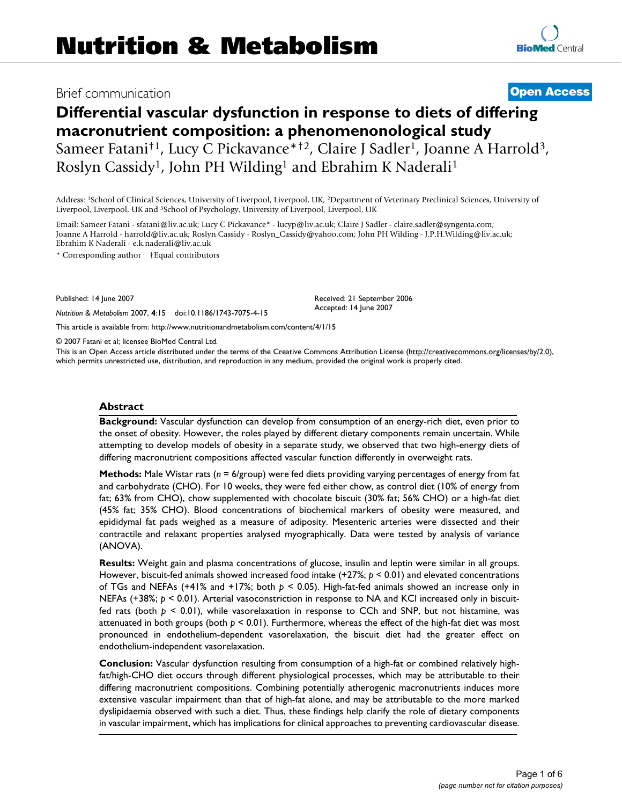# Brief communication **[Open Access](http://www.biomedcentral.com/info/about/charter/)**

# **Differential vascular dysfunction in response to diets of differing macronutrient composition: a phenomenonological study** Sameer Fatani<sup>†1</sup>, Lucy C Pickavance\*<sup>†2</sup>, Claire J Sadler<sup>1</sup>, Joanne A Harrold<sup>3</sup>, Roslyn Cassidy<sup>1</sup>, John PH Wilding<sup>1</sup> and Ebrahim K Naderali<sup>1</sup>

Address: 1School of Clinical Sciences, University of Liverpool, Liverpool, UK, 2Department of Veterinary Preclinical Sciences, University of Liverpool, Liverpool, UK and 3School of Psychology, University of Liverpool, Liverpool, UK

Email: Sameer Fatani - sfatani@liv.ac.uk; Lucy C Pickavance\* - lucyp@liv.ac.uk; Claire J Sadler - claire.sadler@syngenta.com; Joanne A Harrold - harrold@liv.ac.uk; Roslyn Cassidy - Roslyn\_Cassidy@yahoo.com; John PH Wilding - J.P.H.Wilding@liv.ac.uk; Ebrahim K Naderali - e.k.naderali@liv.ac.uk

\* Corresponding author †Equal contributors

Published: 14 June 2007

*Nutrition & Metabolism* 2007, **4**:15 doi:10.1186/1743-7075-4-15

Received: 21 September 2006 Accepted: 14 June 2007

[This article is available from: http://www.nutritionandmetabolism.com/content/4/1/15](http://www.nutritionandmetabolism.com/content/4/1/15)

© 2007 Fatani et al; licensee BioMed Central Ltd.

This is an Open Access article distributed under the terms of the Creative Commons Attribution License [\(http://creativecommons.org/licenses/by/2.0\)](http://creativecommons.org/licenses/by/2.0), which permits unrestricted use, distribution, and reproduction in any medium, provided the original work is properly cited.

#### **Abstract**

**Background:** Vascular dysfunction can develop from consumption of an energy-rich diet, even prior to the onset of obesity. However, the roles played by different dietary components remain uncertain. While attempting to develop models of obesity in a separate study, we observed that two high-energy diets of differing macronutrient compositions affected vascular function differently in overweight rats.

**Methods:** Male Wistar rats (*n* = 6/group) were fed diets providing varying percentages of energy from fat and carbohydrate (CHO). For 10 weeks, they were fed either chow, as control diet (10% of energy from fat; 63% from CHO), chow supplemented with chocolate biscuit (30% fat; 56% CHO) or a high-fat diet (45% fat; 35% CHO). Blood concentrations of biochemical markers of obesity were measured, and epididymal fat pads weighed as a measure of adiposity. Mesenteric arteries were dissected and their contractile and relaxant properties analysed myographically. Data were tested by analysis of variance (ANOVA).

**Results:** Weight gain and plasma concentrations of glucose, insulin and leptin were similar in all groups. However, biscuit-fed animals showed increased food intake (+27%; *p* < 0.01) and elevated concentrations of TGs and NEFAs (+41% and +17%; both *p* < 0.05). High-fat-fed animals showed an increase only in NEFAs (+38%;  $p < 0.01$ ). Arterial vasoconstriction in response to NA and KCl increased only in biscuitfed rats (both *p* < 0.01), while vasorelaxation in response to CCh and SNP, but not histamine, was attenuated in both groups (both  $p < 0.01$ ). Furthermore, whereas the effect of the high-fat diet was most pronounced in endothelium-dependent vasorelaxation, the biscuit diet had the greater effect on endothelium-independent vasorelaxation.

**Conclusion:** Vascular dysfunction resulting from consumption of a high-fat or combined relatively highfat/high-CHO diet occurs through different physiological processes, which may be attributable to their differing macronutrient compositions. Combining potentially atherogenic macronutrients induces more extensive vascular impairment than that of high-fat alone, and may be attributable to the more marked dyslipidaemia observed with such a diet. Thus, these findings help clarify the role of dietary components in vascular impairment, which has implications for clinical approaches to preventing cardiovascular disease.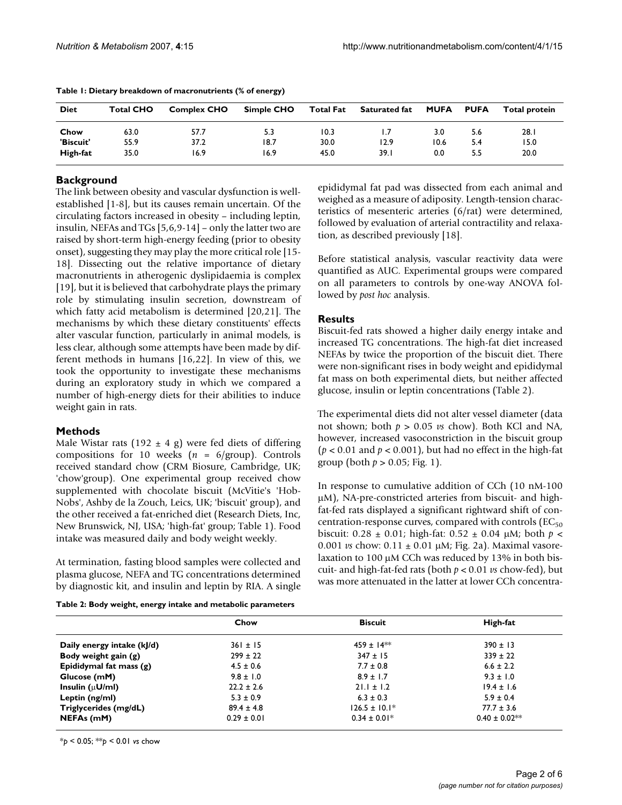| <b>Diet</b> | <b>Total CHO</b> | <b>Complex CHO</b> | Simple CHO | <b>Total Fat</b> | <b>Saturated fat</b> | MUFA | <b>PUFA</b> | Total protein |
|-------------|------------------|--------------------|------------|------------------|----------------------|------|-------------|---------------|
| Chow        | 63.0             | 57.7               | 5.3        | 10.3             |                      | 3.0  | 5.6         | 28. I         |
| 'Biscuit'   | 55.9             | 37.2               | 18.7       | 30.0             | 12.9                 | 10.6 | 5.4         | 15.0          |
| High-fat    | 35.0             | 16.9               | 16.9       | 45.0             | 39.I                 | 0.0  | 5.5         | 20.0          |

**Table 1: Dietary breakdown of macronutrients (% of energy)**

# **Background**

The link between obesity and vascular dysfunction is wellestablished [1-8], but its causes remain uncertain. Of the circulating factors increased in obesity – including leptin, insulin, NEFAs and TGs [5,6,9-14] – only the latter two are raised by short-term high-energy feeding (prior to obesity onset), suggesting they may play the more critical role [15- 18]. Dissecting out the relative importance of dietary macronutrients in atherogenic dyslipidaemia is complex [19], but it is believed that carbohydrate plays the primary role by stimulating insulin secretion, downstream of which fatty acid metabolism is determined [20,21]. The mechanisms by which these dietary constituents' effects alter vascular function, particularly in animal models, is less clear, although some attempts have been made by different methods in humans [16,22]. In view of this, we took the opportunity to investigate these mechanisms during an exploratory study in which we compared a number of high-energy diets for their abilities to induce weight gain in rats.

# **Methods**

Male Wistar rats (192  $\pm$  4 g) were fed diets of differing compositions for 10 weeks (*n* = 6/group). Controls received standard chow (CRM Biosure, Cambridge, UK; 'chow'group). One experimental group received chow supplemented with chocolate biscuit (McVitie's 'Hob-Nobs', Ashby de la Zouch, Leics, UK; 'biscuit' group), and the other received a fat-enriched diet (Research Diets, Inc, New Brunswick, NJ, USA; 'high-fat' group; Table 1). Food intake was measured daily and body weight weekly.

At termination, fasting blood samples were collected and plasma glucose, NEFA and TG concentrations determined by diagnostic kit, and insulin and leptin by RIA. A single

**Table 2: Body weight, energy intake and metabolic parameters**

epididymal fat pad was dissected from each animal and weighed as a measure of adiposity. Length-tension characteristics of mesenteric arteries (6/rat) were determined, followed by evaluation of arterial contractility and relaxation, as described previously [18].

Before statistical analysis, vascular reactivity data were quantified as AUC. Experimental groups were compared on all parameters to controls by one-way ANOVA followed by *post hoc* analysis.

# **Results**

Biscuit-fed rats showed a higher daily energy intake and increased TG concentrations. The high-fat diet increased NEFAs by twice the proportion of the biscuit diet. There were non-significant rises in body weight and epididymal fat mass on both experimental diets, but neither affected glucose, insulin or leptin concentrations (Table 2).

The experimental diets did not alter vessel diameter (data not shown; both *p* > 0.05 *vs* chow). Both KCl and NA, however, increased vasoconstriction in the biscuit group (*p* < 0.01 and *p* < 0.001), but had no effect in the high-fat group (both  $p > 0.05$ ; Fig. 1).

In response to cumulative addition of CCh (10 nM-100 µM), NA-pre-constricted arteries from biscuit- and highfat-fed rats displayed a significant rightward shift of concentration-response curves, compared with controls ( $EC_{50}$ biscuit:  $0.28 \pm 0.01$ ; high-fat:  $0.52 \pm 0.04$  µM; both  $p <$ 0.001 *vs* chow: 0.11 ± 0.01 µM; Fig. 2a). Maximal vasorelaxation to 100 µM CCh was reduced by 13% in both biscuit- and high-fat-fed rats (both *p* < 0.01 *vs* chow-fed), but was more attenuated in the latter at lower CCh concentra-

|                            | Chow            | <b>Biscuit</b>    | High-fat          |
|----------------------------|-----------------|-------------------|-------------------|
| Daily energy intake (kJ/d) | $361 \pm 15$    | $459 \pm 14$ **   | $390 \pm 13$      |
| Body weight gain (g)       | $299 \pm 22$    | $347 \pm 15$      | $339 \pm 22$      |
| Epididymal fat mass (g)    | $4.5 \pm 0.6$   | $7.7 \pm 0.8$     | $6.6 \pm 2.2$     |
| Glucose (mM)               | $9.8 \pm 1.0$   | $8.9 \pm 1.7$     | $9.3 \pm 1.0$     |
| Insulin ( $\mu$ U/ml)      | $22.2 \pm 2.6$  | $21.1 \pm 1.2$    | $19.4 \pm 1.6$    |
| Leptin (ng/ml)             | $5.3 \pm 0.9$   | $6.3 \pm 0.3$     | $5.9 \pm 0.4$     |
| Triglycerides (mg/dL)      | $89.4 \pm 4.8$  | $126.5 \pm 10.1*$ | $77.7 \pm 3.6$    |
| NEFAs (mM)                 | $0.29 \pm 0.01$ | $0.34 \pm 0.01*$  | $0.40 \pm 0.02**$ |

\**p* < 0.05; \*\**p* < 0.01 *vs* chow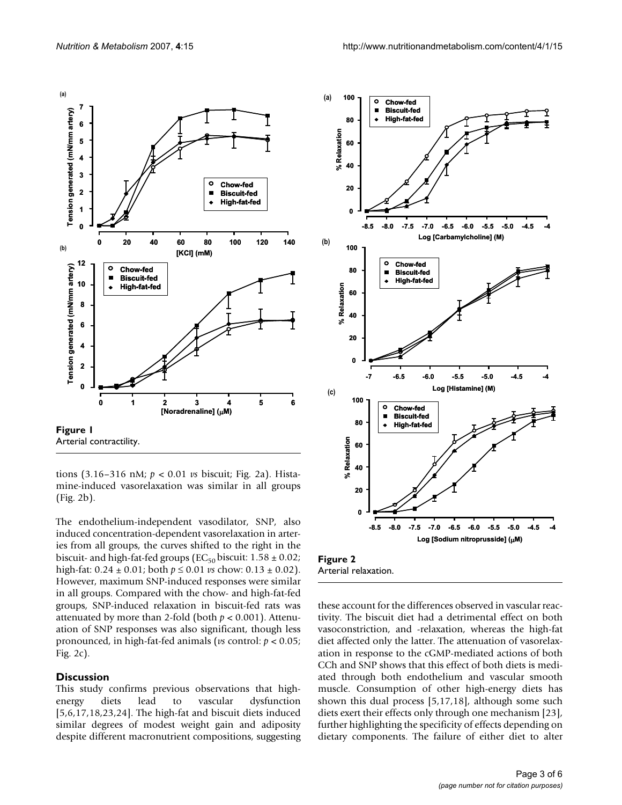



tions (3.16–316 nM; *p* < 0.01 *vs* biscuit; Fig. 2a). Histamine-induced vasorelaxation was similar in all groups (Fig. 2b).

The endothelium-independent vasodilator, SNP, also induced concentration-dependent vasorelaxation in arteries from all groups, the curves shifted to the right in the biscuit- and high-fat-fed groups (EC<sub>50</sub> biscuit:  $1.58 \pm 0.02$ ; high-fat: 0.24 ± 0.01; both *p* ≤ 0.01 *vs* chow: 0.13 ± 0.02). However, maximum SNP-induced responses were similar in all groups. Compared with the chow- and high-fat-fed groups, SNP-induced relaxation in biscuit-fed rats was attenuated by more than 2-fold (both  $p < 0.001$ ). Attenuation of SNP responses was also significant, though less pronounced, in high-fat-fed animals (*vs* control: *p* < 0.05; Fig. 2c).

#### **Discussion**

This study confirms previous observations that highenergy diets lead to vascular dysfunction [5,6,17,18,23,24]. The high-fat and biscuit diets induced similar degrees of modest weight gain and adiposity despite different macronutrient compositions, suggesting



**Figure 2** Arterial relaxation.

these account for the differences observed in vascular reactivity. The biscuit diet had a detrimental effect on both vasoconstriction, and -relaxation, whereas the high-fat diet affected only the latter. The attenuation of vasorelaxation in response to the cGMP-mediated actions of both CCh and SNP shows that this effect of both diets is mediated through both endothelium and vascular smooth muscle. Consumption of other high-energy diets has shown this dual process [5,17,18], although some such diets exert their effects only through one mechanism [23], further highlighting the specificity of effects depending on dietary components. The failure of either diet to alter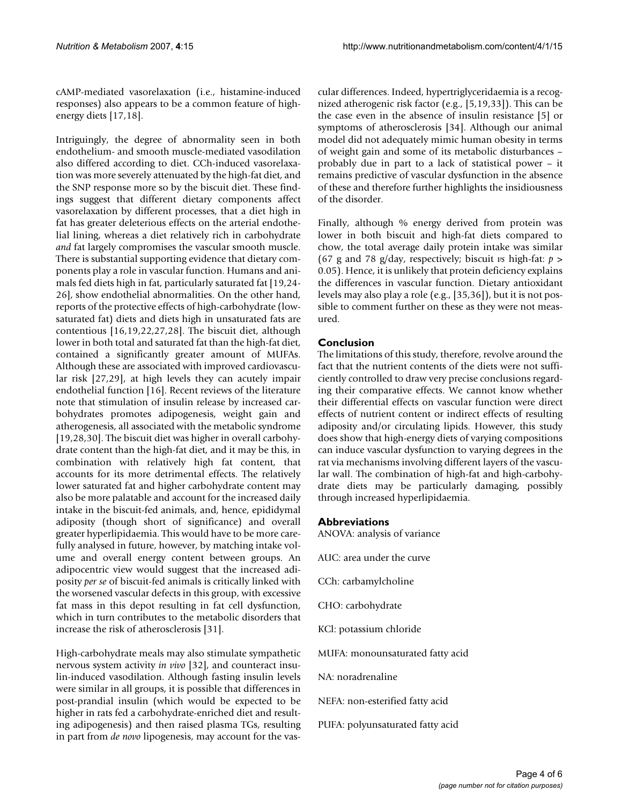cAMP-mediated vasorelaxation (i.e., histamine-induced responses) also appears to be a common feature of highenergy diets [17,18].

Intriguingly, the degree of abnormality seen in both endothelium- and smooth muscle-mediated vasodilation also differed according to diet. CCh-induced vasorelaxation was more severely attenuated by the high-fat diet, and the SNP response more so by the biscuit diet. These findings suggest that different dietary components affect vasorelaxation by different processes, that a diet high in fat has greater deleterious effects on the arterial endothelial lining, whereas a diet relatively rich in carbohydrate *and* fat largely compromises the vascular smooth muscle. There is substantial supporting evidence that dietary components play a role in vascular function. Humans and animals fed diets high in fat, particularly saturated fat [19,24- 26], show endothelial abnormalities. On the other hand, reports of the protective effects of high-carbohydrate (lowsaturated fat) diets and diets high in unsaturated fats are contentious [16,19,22,27,28]. The biscuit diet, although lower in both total and saturated fat than the high-fat diet, contained a significantly greater amount of MUFAs. Although these are associated with improved cardiovascular risk [27,29], at high levels they can acutely impair endothelial function [16]. Recent reviews of the literature note that stimulation of insulin release by increased carbohydrates promotes adipogenesis, weight gain and atherogenesis, all associated with the metabolic syndrome [19,28,30]. The biscuit diet was higher in overall carbohydrate content than the high-fat diet, and it may be this, in combination with relatively high fat content, that accounts for its more detrimental effects. The relatively lower saturated fat and higher carbohydrate content may also be more palatable and account for the increased daily intake in the biscuit-fed animals, and, hence, epididymal adiposity (though short of significance) and overall greater hyperlipidaemia. This would have to be more carefully analysed in future, however, by matching intake volume and overall energy content between groups. An adipocentric view would suggest that the increased adiposity *per se* of biscuit-fed animals is critically linked with the worsened vascular defects in this group, with excessive fat mass in this depot resulting in fat cell dysfunction, which in turn contributes to the metabolic disorders that increase the risk of atherosclerosis [31].

High-carbohydrate meals may also stimulate sympathetic nervous system activity *in vivo* [32], and counteract insulin-induced vasodilation. Although fasting insulin levels were similar in all groups, it is possible that differences in post-prandial insulin (which would be expected to be higher in rats fed a carbohydrate-enriched diet and resulting adipogenesis) and then raised plasma TGs, resulting in part from *de novo* lipogenesis, may account for the vascular differences. Indeed, hypertriglyceridaemia is a recognized atherogenic risk factor (e.g., [5,19,33]). This can be the case even in the absence of insulin resistance [5] or symptoms of atherosclerosis [34]. Although our animal model did not adequately mimic human obesity in terms of weight gain and some of its metabolic disturbances – probably due in part to a lack of statistical power – it remains predictive of vascular dysfunction in the absence of these and therefore further highlights the insidiousness of the disorder.

Finally, although % energy derived from protein was lower in both biscuit and high-fat diets compared to chow, the total average daily protein intake was similar (67 g and 78 g/day, respectively; biscuit *vs* high-fat: *p* > 0.05). Hence, it is unlikely that protein deficiency explains the differences in vascular function. Dietary antioxidant levels may also play a role (e.g., [35,36]), but it is not possible to comment further on these as they were not measured.

# **Conclusion**

The limitations of this study, therefore, revolve around the fact that the nutrient contents of the diets were not sufficiently controlled to draw very precise conclusions regarding their comparative effects. We cannot know whether their differential effects on vascular function were direct effects of nutrient content or indirect effects of resulting adiposity and/or circulating lipids. However, this study does show that high-energy diets of varying compositions can induce vascular dysfunction to varying degrees in the rat via mechanisms involving different layers of the vascular wall. The combination of high-fat and high-carbohydrate diets may be particularly damaging, possibly through increased hyperlipidaemia.

# **Abbreviations**

ANOVA: analysis of variance

- AUC: area under the curve
- CCh: carbamylcholine
- CHO: carbohydrate
- KCl: potassium chloride
- MUFA: monounsaturated fatty acid
- NA: noradrenaline
- NEFA: non-esterified fatty acid
- PUFA: polyunsaturated fatty acid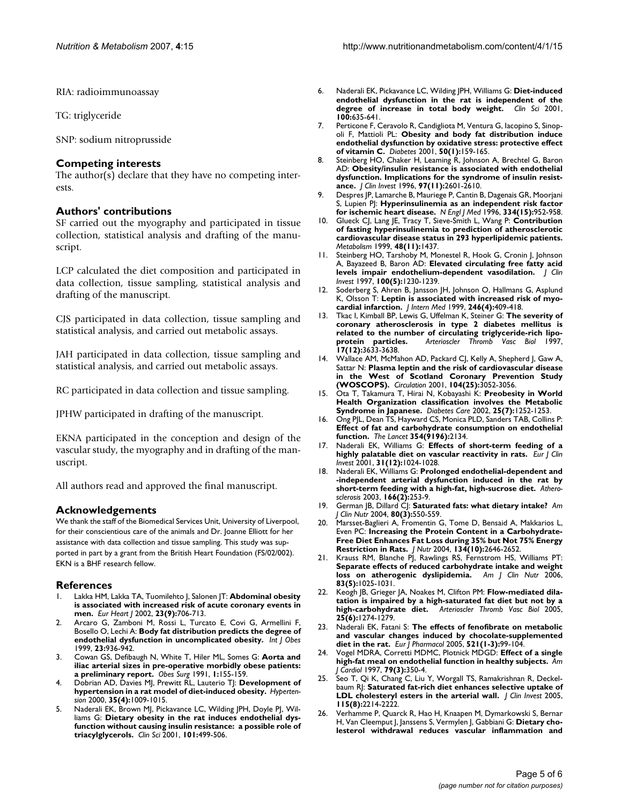RIA: radioimmunoassay

TG: triglyceride

SNP: sodium nitroprusside

## **Competing interests**

The author(s) declare that they have no competing interests.

# **Authors' contributions**

SF carried out the myography and participated in tissue collection, statistical analysis and drafting of the manuscript.

LCP calculated the diet composition and participated in data collection, tissue sampling, statistical analysis and drafting of the manuscript.

CJS participated in data collection, tissue sampling and statistical analysis, and carried out metabolic assays.

JAH participated in data collection, tissue sampling and statistical analysis, and carried out metabolic assays.

RC participated in data collection and tissue sampling.

JPHW participated in drafting of the manuscript.

EKNA participated in the conception and design of the vascular study, the myography and in drafting of the manuscript.

All authors read and approved the final manuscript.

# **Acknowledgements**

We thank the staff of the Biomedical Services Unit, University of Liverpool, for their conscientious care of the animals and Dr. Joanne Elliott for her assistance with data collection and tissue sampling. This study was supported in part by a grant from the British Heart Foundation (FS/02/002). EKN is a BHF research fellow.

### **References**

- 1. Lakka HM, Lakka TA, Tuomilehto J, Salonen JT: **[Abdominal obesity](http://www.ncbi.nlm.nih.gov/entrez/query.fcgi?cmd=Retrieve&db=PubMed&dopt=Abstract&list_uids=11977996) [is associated with increased risk of acute coronary events in](http://www.ncbi.nlm.nih.gov/entrez/query.fcgi?cmd=Retrieve&db=PubMed&dopt=Abstract&list_uids=11977996) [men.](http://www.ncbi.nlm.nih.gov/entrez/query.fcgi?cmd=Retrieve&db=PubMed&dopt=Abstract&list_uids=11977996)** *Eur Heart J* 2002, **23(9):**706-713.
- 2. Arcaro G, Zamboni M, Rossi L, Turcato E, Covi G, Armellini F, Bosello O, Lechi A: **Body fat distribution predicts the degree of endothelial dysfunction in uncomplicated obesity.** *Int J Obes* 1999, **23:**936-942.
- 3. Cowan GS, Defibaugh N, White T, Hiler ML, Somes G: **[Aorta and](http://www.ncbi.nlm.nih.gov/entrez/query.fcgi?cmd=Retrieve&db=PubMed&dopt=Abstract&list_uids=10775909) [iliac arterial sizes in pre-operative morbidly obese patients:](http://www.ncbi.nlm.nih.gov/entrez/query.fcgi?cmd=Retrieve&db=PubMed&dopt=Abstract&list_uids=10775909) [a preliminary report.](http://www.ncbi.nlm.nih.gov/entrez/query.fcgi?cmd=Retrieve&db=PubMed&dopt=Abstract&list_uids=10775909)** *Obes Surg* 1991, **1:**155-159.
- 4. Dobrian AD, Davies MJ, Prewitt RL, Lauterio TJ: **[Development of](http://www.ncbi.nlm.nih.gov/entrez/query.fcgi?cmd=Retrieve&db=PubMed&dopt=Abstract&list_uids=10775577) [hypertension in a rat model of diet-induced obesity.](http://www.ncbi.nlm.nih.gov/entrez/query.fcgi?cmd=Retrieve&db=PubMed&dopt=Abstract&list_uids=10775577)** *Hypertension* 2000, **35(4):**1009-1015.
- 5. Naderali EK, Brown MJ, Pickavance LC, Wilding JPH, Doyle PJ, Williams G: **[Dietary obesity in the rat induces endothelial dys](http://www.ncbi.nlm.nih.gov/entrez/query.fcgi?cmd=Retrieve&db=PubMed&dopt=Abstract&list_uids=11672455)[function without causing insulin resistance: a possible role of](http://www.ncbi.nlm.nih.gov/entrez/query.fcgi?cmd=Retrieve&db=PubMed&dopt=Abstract&list_uids=11672455) [triacylglycerols.](http://www.ncbi.nlm.nih.gov/entrez/query.fcgi?cmd=Retrieve&db=PubMed&dopt=Abstract&list_uids=11672455)** *Clin Sci* 2001, **101:**499-506.
- 6. Naderali EK, Pickavance LC, Wilding JPH, Williams G: **[Diet-induced](http://www.ncbi.nlm.nih.gov/entrez/query.fcgi?cmd=Retrieve&db=PubMed&dopt=Abstract&list_uids=11352779) [endothelial dysfunction in the rat is independent of the](http://www.ncbi.nlm.nih.gov/entrez/query.fcgi?cmd=Retrieve&db=PubMed&dopt=Abstract&list_uids=11352779) [degree of increase in total body weight.](http://www.ncbi.nlm.nih.gov/entrez/query.fcgi?cmd=Retrieve&db=PubMed&dopt=Abstract&list_uids=11352779)** *Clin Sci* 2001, **100:**635-641.
- 7. Perticone F, Ceravolo R, Candigliota M, Ventura G, Iacopino S, Sinopoli F, Mattioli PL: **[Obesity and body fat distribution induce](http://www.ncbi.nlm.nih.gov/entrez/query.fcgi?cmd=Retrieve&db=PubMed&dopt=Abstract&list_uids=11147782) [endothelial dysfunction by oxidative stress: protective effect](http://www.ncbi.nlm.nih.gov/entrez/query.fcgi?cmd=Retrieve&db=PubMed&dopt=Abstract&list_uids=11147782) [of vitamin C.](http://www.ncbi.nlm.nih.gov/entrez/query.fcgi?cmd=Retrieve&db=PubMed&dopt=Abstract&list_uids=11147782)** *Diabetes* 2001, **50(1):**159-165.
- 8. Steinberg HO, Chaker H, Leaming R, Johnson A, Brechtel G, Baron AD: **[Obesity/insulin resistance is associated with endothelial](http://www.ncbi.nlm.nih.gov/entrez/query.fcgi?cmd=Retrieve&db=PubMed&dopt=Abstract&list_uids=8647954) [dysfunction. Implications for the syndrome of insulin resist](http://www.ncbi.nlm.nih.gov/entrez/query.fcgi?cmd=Retrieve&db=PubMed&dopt=Abstract&list_uids=8647954)[ance.](http://www.ncbi.nlm.nih.gov/entrez/query.fcgi?cmd=Retrieve&db=PubMed&dopt=Abstract&list_uids=8647954)** *J Clin Invest* 1996, **97(11):**2601-2610.
- 9. Despres JP, Lamarche B, Mauriege P, Cantin B, Dagenais GR, Moorjani S, Lupien PJ: **[Hyperinsulinemia as an independent risk factor](http://www.ncbi.nlm.nih.gov/entrez/query.fcgi?cmd=Retrieve&db=PubMed&dopt=Abstract&list_uids=8596596) [for ischemic heart disease.](http://www.ncbi.nlm.nih.gov/entrez/query.fcgi?cmd=Retrieve&db=PubMed&dopt=Abstract&list_uids=8596596)** *N Engl J Med* 1996, **334(15):**952-958.
- 10. Glueck CJ, Lang JE, Tracy T, Sieve-Smith L, Wang P: **[Contribution](http://www.ncbi.nlm.nih.gov/entrez/query.fcgi?cmd=Retrieve&db=PubMed&dopt=Abstract&list_uids=10582554) of fasting hyperinsulinemia to prediction of atherosclerotic [cardiovascular disease status in 293 hyperlipidemic patients.](http://www.ncbi.nlm.nih.gov/entrez/query.fcgi?cmd=Retrieve&db=PubMed&dopt=Abstract&list_uids=10582554)** *Metabolism* 1999, **48(11):**1437.
- 11. Steinberg HO, Tarshoby M, Monestel R, Hook G, Cronin J, Johnson A, Bayazeed B, Baron AD: **[Elevated circulating free fatty acid](http://www.ncbi.nlm.nih.gov/entrez/query.fcgi?cmd=Retrieve&db=PubMed&dopt=Abstract&list_uids=9276741) [levels impair endothelium-dependent vasodilation.](http://www.ncbi.nlm.nih.gov/entrez/query.fcgi?cmd=Retrieve&db=PubMed&dopt=Abstract&list_uids=9276741)** *J Clin Invest* 1997, **100(5):**1230-1239.
- 12. Soderberg S, Ahren B, Jansson JH, Johnson O, Hallmans G, Asplund K, Olsson T: **[Leptin is associated with increased risk of myo](http://www.ncbi.nlm.nih.gov/entrez/query.fcgi?cmd=Retrieve&db=PubMed&dopt=Abstract&list_uids=10583712)[cardial infarction.](http://www.ncbi.nlm.nih.gov/entrez/query.fcgi?cmd=Retrieve&db=PubMed&dopt=Abstract&list_uids=10583712)** *J Intern Med* 1999, **246(4):**409-418.
- 13. Tkac I, Kimball BP, Lewis G, Uffelman K, Steiner G: **[The severity of](http://www.ncbi.nlm.nih.gov/entrez/query.fcgi?cmd=Retrieve&db=PubMed&dopt=Abstract&list_uids=9437215) coronary atherosclerosis in type 2 diabetes mellitus is [related to the number of circulating triglyceride-rich lipo](http://www.ncbi.nlm.nih.gov/entrez/query.fcgi?cmd=Retrieve&db=PubMed&dopt=Abstract&list_uids=9437215)[protein particles.](http://www.ncbi.nlm.nih.gov/entrez/query.fcgi?cmd=Retrieve&db=PubMed&dopt=Abstract&list_uids=9437215)** *Arterioscler Thromb Vasc Biol* 1997, **17(12):**3633-3638.
- 14. Wallace AM, McMahon AD, Packard CJ, Kelly A, Shepherd J, Gaw A, Sattar N: **[Plasma leptin and the risk of cardiovascular disease](http://www.ncbi.nlm.nih.gov/entrez/query.fcgi?cmd=Retrieve&db=PubMed&dopt=Abstract&list_uids=11748099) [in the West of Scotland Coronary Prevention Study](http://www.ncbi.nlm.nih.gov/entrez/query.fcgi?cmd=Retrieve&db=PubMed&dopt=Abstract&list_uids=11748099) [\(WOSCOPS\).](http://www.ncbi.nlm.nih.gov/entrez/query.fcgi?cmd=Retrieve&db=PubMed&dopt=Abstract&list_uids=11748099)** *Circulation* 2001, **104(25):**3052-3056.
- 15. Ota T, Takamura T, Hirai N, Kobayashi K: **[Preobesity in World](http://www.ncbi.nlm.nih.gov/entrez/query.fcgi?cmd=Retrieve&db=PubMed&dopt=Abstract&list_uids=12087037) [Health Organization classification involves the Metabolic](http://www.ncbi.nlm.nih.gov/entrez/query.fcgi?cmd=Retrieve&db=PubMed&dopt=Abstract&list_uids=12087037) [Syndrome in Japanese.](http://www.ncbi.nlm.nih.gov/entrez/query.fcgi?cmd=Retrieve&db=PubMed&dopt=Abstract&list_uids=12087037)** *Diabetes Care* 2002, **25(7):**1252-1253.
- 16. Ong PJL, Dean TS, Hayward CS, Monica PLD, Sanders TAB, Collins P: **Effect of fat and carbohydrate consumption on endothelial function.** *The Lancet* **354(9196):**2134.
- 17. Naderali EK, Williams G: **[Effects of short-term feeding of a](http://www.ncbi.nlm.nih.gov/entrez/query.fcgi?cmd=Retrieve&db=PubMed&dopt=Abstract&list_uids=11903487) [highly palatable diet on vascular reactivity in rats.](http://www.ncbi.nlm.nih.gov/entrez/query.fcgi?cmd=Retrieve&db=PubMed&dopt=Abstract&list_uids=11903487)** *Eur J Clin Invest* 2001, **31(12):**1024-1028.
- 18. Naderali EK, Williams G: **[Prolonged endothelial-dependent and](http://www.ncbi.nlm.nih.gov/entrez/query.fcgi?cmd=Retrieve&db=PubMed&dopt=Abstract&list_uids=12535737) [-independent arterial dysfunction induced in the rat by](http://www.ncbi.nlm.nih.gov/entrez/query.fcgi?cmd=Retrieve&db=PubMed&dopt=Abstract&list_uids=12535737) [short-term feeding with a high-fat, high-sucrose diet.](http://www.ncbi.nlm.nih.gov/entrez/query.fcgi?cmd=Retrieve&db=PubMed&dopt=Abstract&list_uids=12535737)** *Atherosclerosis* 2003, **166(2):**253-9.
- 19. German JB, Dillard CJ: **[Saturated fats: what dietary intake?](http://www.ncbi.nlm.nih.gov/entrez/query.fcgi?cmd=Retrieve&db=PubMed&dopt=Abstract&list_uids=15321792)** *Am J Clin Nutr* 2004, **80(3):**550-559.
- 20. Marsset-Baglieri A, Fromentin G, Tome D, Bensaid A, Makkarios L, Even PC: **[Increasing the Protein Content in a Carbohydrate-](http://www.ncbi.nlm.nih.gov/entrez/query.fcgi?cmd=Retrieve&db=PubMed&dopt=Abstract&list_uids=15465761)[Free Diet Enhances Fat Loss during 35% but Not 75% Energy](http://www.ncbi.nlm.nih.gov/entrez/query.fcgi?cmd=Retrieve&db=PubMed&dopt=Abstract&list_uids=15465761) [Restriction in Rats.](http://www.ncbi.nlm.nih.gov/entrez/query.fcgi?cmd=Retrieve&db=PubMed&dopt=Abstract&list_uids=15465761)** *J Nutr* 2004, **134(10):**2646-2652.
- 21. Krauss RM, Blanche PJ, Rawlings RS, Fernstrom HS, Williams PT: **[Separate effects of reduced carbohydrate intake and weight](http://www.ncbi.nlm.nih.gov/entrez/query.fcgi?cmd=Retrieve&db=PubMed&dopt=Abstract&list_uids=16685042) [loss on atherogenic dyslipidemia.](http://www.ncbi.nlm.nih.gov/entrez/query.fcgi?cmd=Retrieve&db=PubMed&dopt=Abstract&list_uids=16685042)** *Am J Clin Nutr* 2006, **83(5):**1025-1031.
- 22. Keogh JB, Grieger JA, Noakes M, Clifton PM: **[Flow-mediated dila](http://www.ncbi.nlm.nih.gov/entrez/query.fcgi?cmd=Retrieve&db=PubMed&dopt=Abstract&list_uids=15774905)[tation is impaired by a high-saturated fat diet but not by a](http://www.ncbi.nlm.nih.gov/entrez/query.fcgi?cmd=Retrieve&db=PubMed&dopt=Abstract&list_uids=15774905) [high-carbohydrate diet.](http://www.ncbi.nlm.nih.gov/entrez/query.fcgi?cmd=Retrieve&db=PubMed&dopt=Abstract&list_uids=15774905)** *Arterioscler Thromb Vasc Biol* 2005, **25(6):**1274-1279.
- 23. Naderali EK, Fatani S: **[The effects of fenofibrate on metabolic](http://www.ncbi.nlm.nih.gov/entrez/query.fcgi?cmd=Retrieve&db=PubMed&dopt=Abstract&list_uids=16165124) [and vascular changes induced by chocolate-supplemented](http://www.ncbi.nlm.nih.gov/entrez/query.fcgi?cmd=Retrieve&db=PubMed&dopt=Abstract&list_uids=16165124) [diet in the rat.](http://www.ncbi.nlm.nih.gov/entrez/query.fcgi?cmd=Retrieve&db=PubMed&dopt=Abstract&list_uids=16165124)** *Eur J Pharmacol* 2005, **521(1-3):**99-104.
- 24. Vogel MDRA, Corretti MDMC, Plotnick MDGD: **[Effect of a single](http://www.ncbi.nlm.nih.gov/entrez/query.fcgi?cmd=Retrieve&db=PubMed&dopt=Abstract&list_uids=9036757) [high-fat meal on endothelial function in healthy subjects.](http://www.ncbi.nlm.nih.gov/entrez/query.fcgi?cmd=Retrieve&db=PubMed&dopt=Abstract&list_uids=9036757)** *Am J Cardiol* 1997, **79(3):**350-4.
- 25. Seo T, Qi K, Chang C, Liu Y, Worgall TS, Ramakrishnan R, Deckelbaum RJ: **[Saturated fat-rich diet enhances selective uptake of](http://www.ncbi.nlm.nih.gov/entrez/query.fcgi?cmd=Retrieve&db=PubMed&dopt=Abstract&list_uids=16041409) [LDL cholesteryl esters in the arterial wall.](http://www.ncbi.nlm.nih.gov/entrez/query.fcgi?cmd=Retrieve&db=PubMed&dopt=Abstract&list_uids=16041409)** *J Clin Invest* 2005, **115(8):**2214-2222.
- 26. Verhamme P, Quarck R, Hao H, Knaapen M, Dymarkowski S, Bernar H, Van Cleemput J, Janssens S, Vermylen J, Gabbiani G: **[Dietary cho](http://www.ncbi.nlm.nih.gov/entrez/query.fcgi?cmd=Retrieve&db=PubMed&dopt=Abstract&list_uids=12237174)[lesterol withdrawal reduces vascular inflammation and](http://www.ncbi.nlm.nih.gov/entrez/query.fcgi?cmd=Retrieve&db=PubMed&dopt=Abstract&list_uids=12237174)**